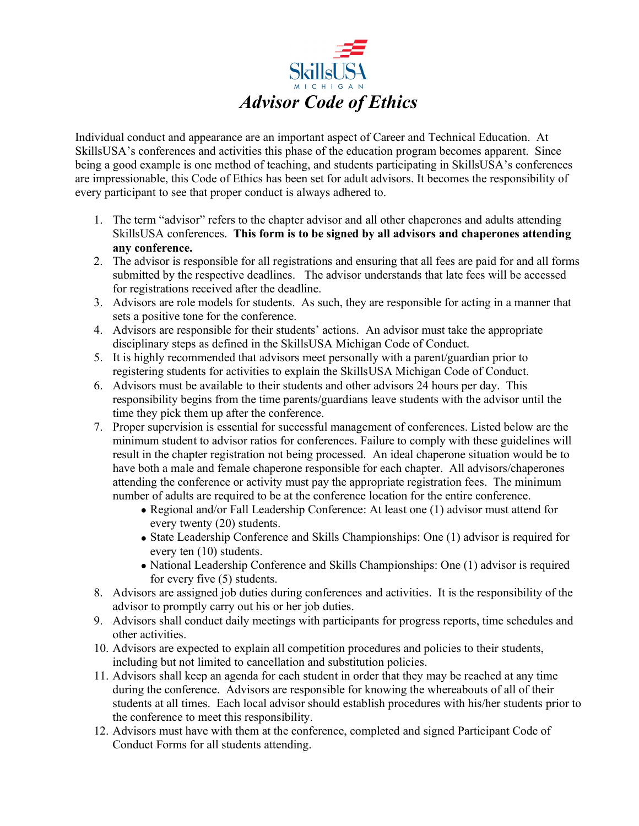

Individual conduct and appearance are an important aspect of Career and Technical Education. At SkillsUSA's conferences and activities this phase of the education program becomes apparent. Since being a good example is one method of teaching, and students participating in SkillsUSA's conferences are impressionable, this Code of Ethics has been set for adult advisors. It becomes the responsibility of every participant to see that proper conduct is always adhered to.

- 1. The term "advisor" refers to the chapter advisor and all other chaperones and adults attending SkillsUSA conferences. **This form is to be signed by all advisors and chaperones attending any conference.**
- 2. The advisor is responsible for all registrations and ensuring that all fees are paid for and all forms submitted by the respective deadlines. The advisor understands that late fees will be accessed for registrations received after the deadline.
- 3. Advisors are role models for students. As such, they are responsible for acting in a manner that sets a positive tone for the conference.
- 4. Advisors are responsible for their students' actions. An advisor must take the appropriate disciplinary steps as defined in the SkillsUSA Michigan Code of Conduct.
- 5. It is highly recommended that advisors meet personally with a parent/guardian prior to registering students for activities to explain the SkillsUSA Michigan Code of Conduct.
- 6. Advisors must be available to their students and other advisors 24 hours per day. This responsibility begins from the time parents/guardians leave students with the advisor until the time they pick them up after the conference.
- 7. Proper supervision is essential for successful management of conferences. Listed below are the minimum student to advisor ratios for conferences. Failure to comply with these guidelines will result in the chapter registration not being processed. An ideal chaperone situation would be to have both a male and female chaperone responsible for each chapter. All advisors/chaperones attending the conference or activity must pay the appropriate registration fees. The minimum number of adults are required to be at the conference location for the entire conference.
	- Regional and/or Fall Leadership Conference: At least one (1) advisor must attend for every twenty (20) students.
	- State Leadership Conference and Skills Championships: One (1) advisor is required for every ten (10) students.
	- National Leadership Conference and Skills Championships: One (1) advisor is required for every five (5) students.
- 8. Advisors are assigned job duties during conferences and activities. It is the responsibility of the advisor to promptly carry out his or her job duties.
- 9. Advisors shall conduct daily meetings with participants for progress reports, time schedules and other activities.
- 10. Advisors are expected to explain all competition procedures and policies to their students, including but not limited to cancellation and substitution policies.
- 11. Advisors shall keep an agenda for each student in order that they may be reached at any time during the conference. Advisors are responsible for knowing the whereabouts of all of their students at all times. Each local advisor should establish procedures with his/her students prior to the conference to meet this responsibility.
- 12. Advisors must have with them at the conference, completed and signed Participant Code of Conduct Forms for all students attending.